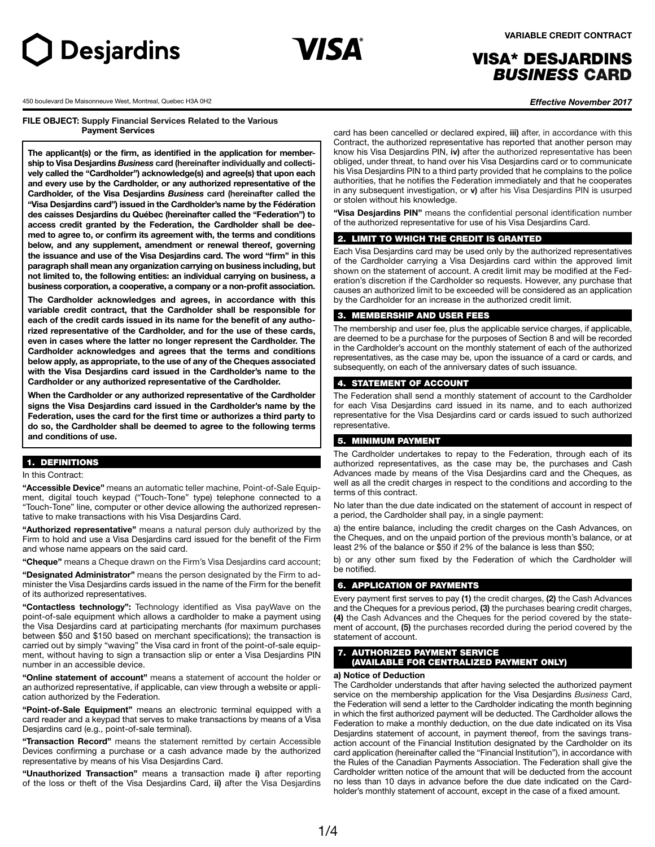



# VISA\* DESJARDINS *BUSINESS* CARD

450 boulevard De Maisonneuve West, Montreal, Quebec H3A 0H2 *Effective November 2017*

**FILE OBJECT: Supply Financial Services Related to the Various Payment Services**

**The applicant(s) or the firm, as identified in the application for membership to Visa Desjardins** *Business* **card (hereinafter individually and collectively called the "Cardholder") acknowledge(s) and agree(s) that upon each and every use by the Cardholder, or any authorized representative of the Cardholder, of the Visa Desjardins** *Business* **card (hereinafter called the "Visa Desjardins card") issued in the Cardholder's name by the Fédération des caisses Desjardins du Québec (hereinafter called the "Federation") to access credit granted by the Federation, the Cardholder shall be deemed to agree to, or confirm its agreement with, the terms and conditions below, and any supplement, amendment or renewal thereof, governing the issuance and use of the Visa Desjardins card. The word "firm" in this paragraph shall mean any organization carrying on business including, but not limited to, the following entities: an individual carrying on business, a business corporation, a cooperative, a company or a non-profit association.** 

**The Cardholder acknowledges and agrees, in accordance with this variable credit contract, that the Cardholder shall be responsible for each of the credit cards issued in its name for the benefit of any authorized representative of the Cardholder, and for the use of these cards, even in cases where the latter no longer represent the Cardholder. The Cardholder acknowledges and agrees that the terms and conditions below apply, as appropriate, to the use of any of the Cheques associated with the Visa Desjardins card issued in the Cardholder's name to the Cardholder or any authorized representative of the Cardholder.** 

**When the Cardholder or any authorized representative of the Cardholder signs the Visa Desjardins card issued in the Cardholder's name by the Federation, uses the card for the first time or authorizes a third party to do so, the Cardholder shall be deemed to agree to the following terms and conditions of use.**

# 1. DEFINITIONS

## In this Contract:

**"Accessible Device"** means an automatic teller machine, Point-of-Sale Equipment, digital touch keypad ("Touch-Tone" type) telephone connected to a "Touch-Tone" line, computer or other device allowing the authorized representative to make transactions with his Visa Desjardins Card.

**"Authorized representative"** means a natural person duly authorized by the Firm to hold and use a Visa Desjardins card issued for the benefit of the Firm and whose name appears on the said card.

**"Cheque"** means a Cheque drawn on the Firm's Visa Desjardins card account;

**"Designated Administrator"** means the person designated by the Firm to administer the Visa Desjardins cards issued in the name of the Firm for the benefit of its authorized representatives.

**"Contactless technology":** Technology identified as Visa payWave on the point-of-sale equipment which allows a cardholder to make a payment using the Visa Desjardins card at participating merchants (for maximum purchases between \$50 and \$150 based on merchant specifications); the transaction is carried out by simply "waving" the Visa card in front of the point-of-sale equipment, without having to sign a transaction slip or enter a Visa Desjardins PIN number in an accessible device.

**"Online statement of account"** means a statement of account the holder or an authorized representative, if applicable, can view through a website or application authorized by the Federation.

**"Point-of-Sale Equipment"** means an electronic terminal equipped with a card reader and a keypad that serves to make transactions by means of a Visa Desjardins card (e.g., point-of-sale terminal).

**"Transaction Record"** means the statement remitted by certain Accessible Devices confirming a purchase or a cash advance made by the authorized representative by means of his Visa Desjardins Card.

**"Unauthorized Transaction"** means a transaction made **i)** after reporting of the loss or theft of the Visa Desjardins Card, **ii)** after the Visa Desjardins

card has been cancelled or declared expired, **iii)** after, in accordance with this Contract, the authorized representative has reported that another person may know his Visa Desjardins PIN, **iv)** after the authorized representative has been obliged, under threat, to hand over his Visa Desjardins card or to communicate his Visa Desjardins PIN to a third party provided that he complains to the police authorities, that he notifies the Federation immediately and that he cooperates in any subsequent investigation, or **v)** after his Visa Desjardins PIN is usurped or stolen without his knowledge.

**"Visa Desjardins PIN"** means the confidential personal identification number of the authorized representative for use of his Visa Desjardins Card.

#### 2. LIMIT TO WHICH THE CREDIT IS GRANTED

Each Visa Desjardins card may be used only by the authorized representatives of the Cardholder carrying a Visa Desjardins card within the approved limit shown on the statement of account. A credit limit may be modified at the Federation's discretion if the Cardholder so requests. However, any purchase that causes an authorized limit to be exceeded will be considered as an application by the Cardholder for an increase in the authorized credit limit.

# 3. MEMBERSHIP AND USER FEES

The membership and user fee, plus the applicable service charges, if applicable, are deemed to be a purchase for the purposes of Section 8 and will be recorded in the Cardholder's account on the monthly statement of each of the authorized representatives, as the case may be, upon the issuance of a card or cards, and subsequently, on each of the anniversary dates of such issuance.

### 4. STATEMENT OF ACCOUNT

The Federation shall send a monthly statement of account to the Cardholder for each Visa Desjardins card issued in its name, and to each authorized representative for the Visa Desjardins card or cards issued to such authorized representative.

# 5. MINIMUM PAYMENT

The Cardholder undertakes to repay to the Federation, through each of its authorized representatives, as the case may be, the purchases and Cash Advances made by means of the Visa Desjardins card and the Cheques, as well as all the credit charges in respect to the conditions and according to the terms of this contract.

No later than the due date indicated on the statement of account in respect of a period, the Cardholder shall pay, in a single payment:

a) the entire balance, including the credit charges on the Cash Advances, on the Cheques, and on the unpaid portion of the previous month's balance, or at least 2% of the balance or \$50 if 2% of the balance is less than \$50;

b) or any other sum fixed by the Federation of which the Cardholder will be notified.

# 6. APPLICATION OF PAYMENTS

Every payment first serves to pay **(1)** the credit charges, **(2)** the Cash Advances and the Cheques for a previous period, **(3)** the purchases bearing credit charges, **(4)** the Cash Advances and the Cheques for the period covered by the statement of account, **(5)** the purchases recorded during the period covered by the statement of account.

# **AUTHORIZED PAYMENT SERVICE**

(AVAILABLE FOR CENTRALIZED PAYMENT ONLY)

## **a) Notice of Deduction**

The Cardholder understands that after having selected the authorized payment service on the membership application for the Visa Desjardins *Business* Card, the Federation will send a letter to the Cardholder indicating the month beginning in which the first authorized payment will be deducted. The Cardholder allows the Federation to make a monthly deduction, on the due date indicated on its Visa Desjardins statement of account, in payment thereof, from the savings transaction account of the Financial Institution designated by the Cardholder on its card application (hereinafter called the "Financial Institution"), in accordance with the Rules of the Canadian Payments Association. The Federation shall give the Cardholder written notice of the amount that will be deducted from the account no less than 10 days in advance before the due date indicated on the Cardholder's monthly statement of account, except in the case of a fixed amount.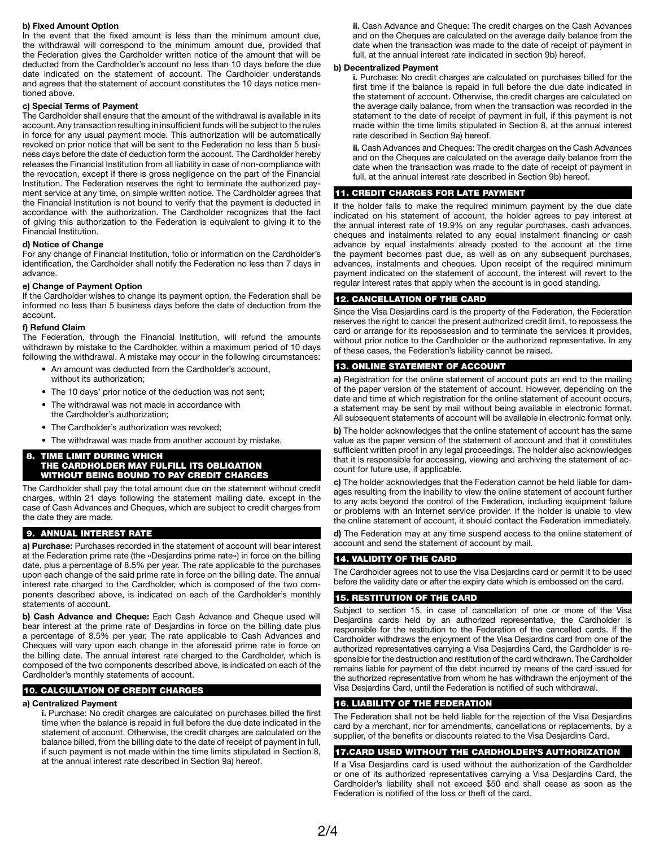### **b) Fixed Amount Option**

In the event that the fixed amount is less than the minimum amount due, the withdrawal will correspond to the minimum amount due, provided that the Federation gives the Cardholder written notice of the amount that will be deducted from the Cardholder's account no less than 10 days before the due date indicated on the statement of account. The Cardholder understands and agrees that the statement of account constitutes the 10 days notice mentioned above.

#### **c) Special Terms of Payment**

The Cardholder shall ensure that the amount of the withdrawal is available in its account. Any transaction resulting in insufficient funds will be subject to the rules in force for any usual payment mode. This authorization will be automatically revoked on prior notice that will be sent to the Federation no less than 5 business days before the date of deduction form the account. The Cardholder hereby releases the Financial Institution from all liability in case of non-compliance with the revocation, except if there is gross negligence on the part of the Financial Institution. The Federation reserves the right to terminate the authorized payment service at any time, on simple written notice. The Cardholder agrees that the Financial Institution is not bound to verify that the payment is deducted in accordance with the authorization. The Cardholder recognizes that the fact of giving this authorization to the Federation is equivalent to giving it to the Financial Institution.

### **d) Notice of Change**

For any change of Financial Institution, folio or information on the Cardholder's identification, the Cardholder shall notify the Federation no less than 7 days in advance.

### **e) Change of Payment Option**

If the Cardholder wishes to change its payment option, the Federation shall be informed no less than 5 business days before the date of deduction from the account.

# **f) Refund Claim**

The Federation, through the Financial Institution, will refund the amounts withdrawn by mistake to the Cardholder, within a maximum period of 10 days following the withdrawal. A mistake may occur in the following circumstances:

- An amount was deducted from the Cardholder's account, without its authorization;
- The 10 days' prior notice of the deduction was not sent;
- The withdrawal was not made in accordance with the Cardholder's authorization;
- The Cardholder's authorization was revoked;
- The withdrawal was made from another account by mistake.

#### 8. TIME LIMIT DURING WHICH THE CARDHOLDER MAY FULFILL ITS OBLIGATION WITHOUT BEING BOUND TO PAY CREDIT CHARGES

The Cardholder shall pay the total amount due on the statement without credit charges, within 21 days following the statement mailing date, except in the case of Cash Advances and Cheques, which are subject to credit charges from the date they are made.

# 9. ANNUAL INTEREST RATE

**a) Purchase:** Purchases recorded in the statement of account will bear interest at the Federation prime rate (the «Desjardins prime rate») in force on the billing date, plus a percentage of 8.5% per year. The rate applicable to the purchases upon each change of the said prime rate in force on the billing date. The annual interest rate charged to the Cardholder, which is composed of the two components described above, is indicated on each of the Cardholder's monthly statements of account.

**b) Cash Advance and Cheque:** Each Cash Advance and Cheque used will bear interest at the prime rate of Desjardins in force on the billing date plus a percentage of 8.5% per year. The rate applicable to Cash Advances and Cheques will vary upon each change in the aforesaid prime rate in force on the billing date. The annual interest rate charged to the Cardholder, which is composed of the two components described above, is indicated on each of the Cardholder's monthly statements of account.

# 10. CALCULATION OF CREDIT CHARGES

# **a) Centralized Payment**

**i.** Purchase: No credit charges are calculated on purchases billed the first time when the balance is repaid in full before the due date indicated in the statement of account. Otherwise, the credit charges are calculated on the balance billed, from the billing date to the date of receipt of payment in full, if such payment is not made within the time limits stipulated in Section 8, at the annual interest rate described in Section 9a) hereof.

**ii.** Cash Advance and Cheque: The credit charges on the Cash Advances and on the Cheques are calculated on the average daily balance from the date when the transaction was made to the date of receipt of payment in full, at the annual interest rate indicated in section 9b) hereof.

#### **b) Decentralized Payment**

**i.** Purchase: No credit charges are calculated on purchases billed for the first time if the balance is repaid in full before the due date indicated in the statement of account. Otherwise, the credit charges are calculated on the average daily balance, from when the transaction was recorded in the statement to the date of receipt of payment in full, if this payment is not made within the time limits stipulated in Section 8, at the annual interest rate described in Section 9a) hereof.

**ii.** Cash Advances and Cheques: The credit charges on the Cash Advances and on the Cheques are calculated on the average daily balance from the date when the transaction was made to the date of receipt of payment in full, at the annual interest rate described in Section 9b) hereof.

# 11. CREDIT CHARGES FOR LATE PAYMENT

If the holder fails to make the required minimum payment by the due date indicated on his statement of account, the holder agrees to pay interest at the annual interest rate of 19.9% on any regular purchases, cash advances, cheques and instalments related to any equal instalment financing or cash advance by equal instalments already posted to the account at the time the payment becomes past due, as well as on any subsequent purchases, advances, instalments and cheques. Upon receipt of the required minimum payment indicated on the statement of account, the interest will revert to the regular interest rates that apply when the account is in good standing.

# 12. CANCELLATION OF THE CARD

Since the Visa Desjardins card is the property of the Federation, the Federation reserves the right to cancel the present authorized credit limit, to repossess the card or arrange for its repossession and to terminate the services it provides, without prior notice to the Cardholder or the authorized representative. In any of these cases, the Federation's liability cannot be raised.

# 13. ONLINE STATEMENT OF ACCOUNT

**a)** Registration for the online statement of account puts an end to the mailing of the paper version of the statement of account. However, depending on the date and time at which registration for the online statement of account occurs, a statement may be sent by mail without being available in electronic format. All subsequent statements of account will be available in electronic format only.

**b)** The holder acknowledges that the online statement of account has the same value as the paper version of the statement of account and that it constitutes sufficient written proof in any legal proceedings. The holder also acknowledges that it is responsible for accessing, viewing and archiving the statement of account for future use, if applicable.

**c)** The holder acknowledges that the Federation cannot be held liable for damages resulting from the inability to view the online statement of account further to any acts beyond the control of the Federation, including equipment failure or problems with an Internet service provider. If the holder is unable to view the online statement of account, it should contact the Federation immediately.

**d)** The Federation may at any time suspend access to the online statement of account and send the statement of account by mail.

# 14. VALIDITY OF THE CARD

The Cardholder agrees not to use the Visa Desjardins card or permit it to be used before the validity date or after the expiry date which is embossed on the card.

# 15. RESTITUTION OF THE CARD

Subject to section 15, in case of cancellation of one or more of the Visa Desjardins cards held by an authorized representative, the Cardholder is responsible for the restitution to the Federation of the cancelled cards. If the Cardholder withdraws the enjoyment of the Visa Desjardins card from one of the authorized representatives carrying a Visa Desjardins Card, the Cardholder is responsible for the destruction and restitution of the card withdrawn. The Cardholder remains liable for payment of the debt incurred by means of the card issued for the authorized representative from whom he has withdrawn the enjoyment of the Visa Desjardins Card, until the Federation is notified of such withdrawal.

# 16. LIABILITY OF THE FEDERATION

The Federation shall not be held liable for the rejection of the Visa Desjardins card by a merchant, nor for amendments, cancellations or replacements, by a supplier, of the benefits or discounts related to the Visa Desjardins Card.

### 17.CARD USED WITHOUT THE CARDHOLDER'S AUTHORIZATION

If a Visa Desjardins card is used without the authorization of the Cardholder or one of its authorized representatives carrying a Visa Desjardins Card, the Cardholder's liability shall not exceed \$50 and shall cease as soon as the Federation is notified of the loss or theft of the card.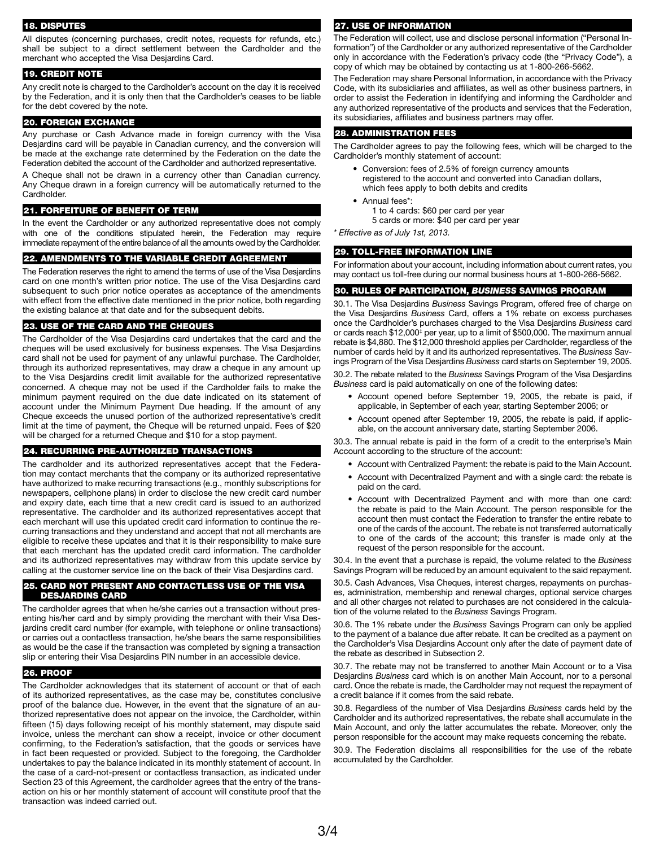#### 18. DISPUTES

All disputes (concerning purchases, credit notes, requests for refunds, etc.) shall be subject to a direct settlement between the Cardholder and the merchant who accepted the Visa Desjardins Card.

# 19. CREDIT NOTE

Any credit note is charged to the Cardholder's account on the day it is received by the Federation, and it is only then that the Cardholder's ceases to be liable for the debt covered by the note.

# 20. FOREIGN EXCHANGE

Any purchase or Cash Advance made in foreign currency with the Visa Desjardins card will be payable in Canadian currency, and the conversion will be made at the exchange rate determined by the Federation on the date the Federation debited the account of the Cardholder and authorized representative.

A Cheque shall not be drawn in a currency other than Canadian currency. Any Cheque drawn in a foreign currency will be automatically returned to the Cardholder.

#### 21. FORFEITURE OF BENEFIT OF TERM

In the event the Cardholder or any authorized representative does not comply with one of the conditions stipulated herein, the Federation may require immediate repayment of the entire balance of all the amounts owed by the Cardholder.

# 22. AMENDMENTS TO THE VARIABLE CREDIT AGREEMENT

The Federation reserves the right to amend the terms of use of the Visa Desjardins card on one month's written prior notice. The use of the Visa Desjardins card subsequent to such prior notice operates as acceptance of the amendments with effect from the effective date mentioned in the prior notice, both regarding the existing balance at that date and for the subsequent debits.

# 23. USE OF THE CARD AND THE CHEQUES

The Cardholder of the Visa Desjardins card undertakes that the card and the cheques will be used exclusively for business expenses. The Visa Desjardins card shall not be used for payment of any unlawful purchase. The Cardholder, through its authorized representatives, may draw a cheque in any amount up to the Visa Desjardins credit limit available for the authorized representative concerned. A cheque may not be used if the Cardholder fails to make the minimum payment required on the due date indicated on its statement of account under the Minimum Payment Due heading. If the amount of any Cheque exceeds the unused portion of the authorized representative's credit limit at the time of payment, the Cheque will be returned unpaid. Fees of \$20 will be charged for a returned Cheque and \$10 for a stop payment.

#### 24. RECURRING PRE-AUTHORIZED TRANSACTIONS

The cardholder and its authorized representatives accept that the Federation may contact merchants that the company or its authorized representative have authorized to make recurring transactions (e.g., monthly subscriptions for newspapers, cellphone plans) in order to disclose the new credit card number and expiry date, each time that a new credit card is issued to an authorized representative. The cardholder and its authorized representatives accept that each merchant will use this updated credit card information to continue the recurring transactions and they understand and accept that not all merchants are eligible to receive these updates and that it is their responsibility to make sure that each merchant has the updated credit card information. The cardholder and its authorized representatives may withdraw from this update service by calling at the customer service line on the back of their Visa Desjardins card.

#### 25. CARD NOT PRESENT AND CONTACTLESS USE OF THE VISA DESJARDINS CARD

The cardholder agrees that when he/she carries out a transaction without presenting his/her card and by simply providing the merchant with their Visa Desjardins credit card number (for example, with telephone or online transactions) or carries out a contactless transaction, he/she bears the same responsibilities as would be the case if the transaction was completed by signing a transaction slip or entering their Visa Desjardins PIN number in an accessible device.

#### 26. PROOF

The Cardholder acknowledges that its statement of account or that of each of its authorized representatives, as the case may be, constitutes conclusive proof of the balance due. However, in the event that the signature of an authorized representative does not appear on the invoice, the Cardholder, within fifteen (15) days following receipt of his monthly statement, may dispute said invoice, unless the merchant can show a receipt, invoice or other document confirming, to the Federation's satisfaction, that the goods or services have in fact been requested or provided. Subject to the foregoing, the Cardholder undertakes to pay the balance indicated in its monthly statement of account. In the case of a card-not-present or contactless transaction, as indicated under Section 23 of this Agreement, the cardholder agrees that the entry of the transaction on his or her monthly statement of account will constitute proof that the transaction was indeed carried out.

#### 27. USE OF INFORMATION

The Federation will collect, use and disclose personal information ("Personal Information") of the Cardholder or any authorized representative of the Cardholder only in accordance with the Federation's privacy code (the "Privacy Code"), a copy of which may be obtained by contacting us at 1-800-266-5662.

The Federation may share Personal Information, in accordance with the Privacy Code, with its subsidiaries and affiliates, as well as other business partners, in order to assist the Federation in identifying and informing the Cardholder and any authorized representative of the products and services that the Federation, its subsidiaries, affiliates and business partners may offer.

#### 28. ADMINISTRATION FEES

The Cardholder agrees to pay the following fees, which will be charged to the Cardholder's monthly statement of account:

- Conversion: fees of 2.5% of foreign currency amounts registered to the account and converted into Canadian dollars, which fees apply to both debits and credits
- Annual fees\*: 1 to 4 cards: \$60 per card per year
	- 5 cards or more: \$40 per card per year

*\* Effective as of July 1st, 2013.*

# 29. TOLL-FREE INFORMATION LINE

For information about your account, including information about current rates, you may contact us toll-free during our normal business hours at 1-800-266-5662.

# 30. RULES OF PARTICIPATION, *BUSINESS* SAVINGS PROGRAM

30.1. The Visa Desjardins *Business* Savings Program, offered free of charge on the Visa Desjardins *Business* Card, offers a 1% rebate on excess purchases once the Cardholder's purchases charged to the Visa Desjardins *Business* card or cards reach \$12,000<sup>‡</sup> per year, up to a limit of \$500,000. The maximum annual rebate is \$4,880. The \$12,000 threshold applies per Cardholder, regardless of the number of cards held by it and its authorized representatives. The *Business* Savings Program of the Visa Desjardins *Business* card starts on September 19, 2005.

30.2. The rebate related to the *Business* Savings Program of the Visa Desjardins *Business* card is paid automatically on one of the following dates:

- Account opened before September 19, 2005, the rebate is paid, if applicable, in September of each year, starting September 2006; or
- Account opened after September 19, 2005, the rebate is paid, if applicable, on the account anniversary date, starting September 2006.

30.3. The annual rebate is paid in the form of a credit to the enterprise's Main Account according to the structure of the account:

- Account with Centralized Payment: the rebate is paid to the Main Account.
- Account with Decentralized Payment and with a single card: the rebate is paid on the card.
- Account with Decentralized Payment and with more than one card: the rebate is paid to the Main Account. The person responsible for the account then must contact the Federation to transfer the entire rebate to one of the cards of the account. The rebate is not transferred automatically to one of the cards of the account; this transfer is made only at the request of the person responsible for the account.

30.4. In the event that a purchase is repaid, the volume related to the *Business* Savings Program will be reduced by an amount equivalent to the said repayment.

30.5. Cash Advances, Visa Cheques, interest charges, repayments on purchases, administration, membership and renewal charges, optional service charges and all other charges not related to purchases are not considered in the calculation of the volume related to the *Business* Savings Program.

30.6. The 1% rebate under the *Business* Savings Program can only be applied to the payment of a balance due after rebate. It can be credited as a payment on the Cardholder's Visa Desjardins Account only after the date of payment date of the rebate as described in Subsection 2.

30.7. The rebate may not be transferred to another Main Account or to a Visa Desjardins *Business* card which is on another Main Account, nor to a personal card. Once the rebate is made, the Cardholder may not request the repayment of a credit balance if it comes from the said rebate.

30.8. Regardless of the number of Visa Desjardins *Business* cards held by the Cardholder and its authorized representatives, the rebate shall accumulate in the Main Account, and only the latter accumulates the rebate. Moreover, only the person responsible for the account may make requests concerning the rebate.

30.9. The Federation disclaims all responsibilities for the use of the rebate accumulated by the Cardholder.